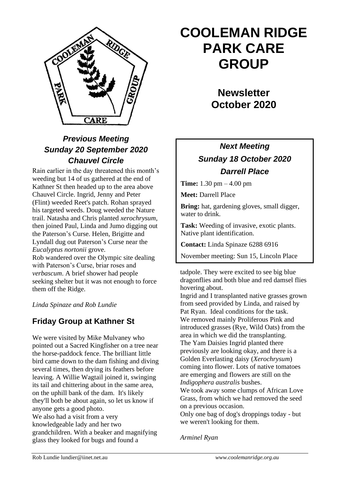

## *Previous Meeting Sunday 20 September 2020 Chauvel Circle*

Rain earlier in the day threatened this month's weeding but 14 of us gathered at the end of Kathner St then headed up to the area above Chauvel Circle. Ingrid, Jenny and Peter (Flint) weeded Reet's patch. Rohan sprayed his targeted weeds. Doug weeded the Nature trail. Natasha and Chris planted *xerochrysum*, then joined Paul, Linda and Jumo digging out the Paterson's Curse. Helen, Brigitte and Lyndall dug out Paterson's Curse near the *Eucalyptus nortonii* grove. Rob wandered over the Olympic site dealing with Paterson's Curse, briar roses and *verbascum*. A brief shower had people seeking shelter but it was not enough to force

*Linda Spinaze and Rob Lundie*

them off the Ridge.

### **Friday Group at Kathner St**

We were visited by Mike Mulvaney who pointed out a Sacred Kingfisher on a tree near the horse-paddock fence. The brilliant little bird came down to the dam fishing and diving several times, then drying its feathers before leaving. A Willie Wagtail joined it, swinging its tail and chittering about in the same area, on the uphill bank of the dam. It's likely they'll both be about again, so let us know if anyone gets a good photo. We also had a visit from a very knowledgeable lady and her two grandchildren. With a beaker and magnifying glass they looked for bugs and found a

# **COOLEMAN RIDGE PARK CARE GROUP**

**Newsletter October 2020** 

## *Next Meeting Sunday 18 October 2020 Darrell Place*

**Time:** 1.30 pm – 4.00 pm

**Meet:** Darrell Place

**Bring:** hat, gardening gloves, small digger, water to drink.

**Task:** Weeding of invasive, exotic plants. Native plant identification.

**Contact:** Linda Spinaze 6288 6916

November meeting: Sun 15, Lincoln Place

tadpole. They were excited to see big blue dragonflies and both blue and red damsel flies hovering about.

Ingrid and I transplanted native grasses grown from seed provided by Linda, and raised by Pat Ryan. Ideal conditions for the task. We removed mainly Proliferous Pink and introduced grasses (Rye, Wild Oats) from the area in which we did the transplanting. The Yam Daisies Ingrid planted there previously are looking okay, and there is a Golden Everlasting daisy (*Xerochrysum*) coming into flower. Lots of native tomatoes are emerging and flowers are still on the *Indigophera australis* bushes.

We took away some clumps of African Love Grass, from which we had removed the seed on a previous occasion.

Only one bag of dog's droppings today - but we weren't looking for them.

*Arminel Ryan*